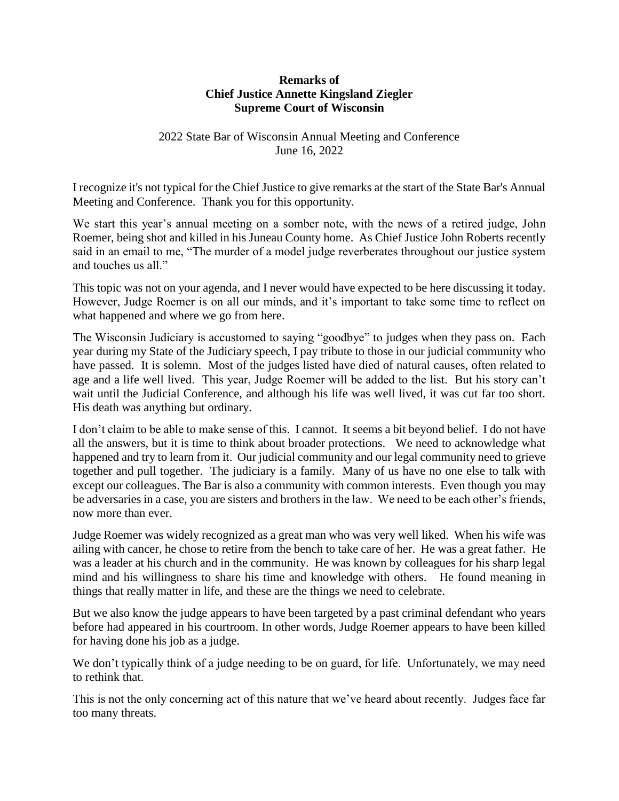## **Remarks of Chief Justice Annette Kingsland Ziegler Supreme Court of Wisconsin**

## 2022 State Bar of Wisconsin Annual Meeting and Conference June 16, 2022

I recognize it's not typical for the Chief Justice to give remarks at the start of the State Bar's Annual Meeting and Conference. Thank you for this opportunity.

We start this year's annual meeting on a somber note, with the news of a retired judge, John Roemer, being shot and killed in his Juneau County home. As Chief Justice John Roberts recently said in an email to me, "The murder of a model judge reverberates throughout our justice system and touches us all."

This topic was not on your agenda, and I never would have expected to be here discussing it today. However, Judge Roemer is on all our minds, and it's important to take some time to reflect on what happened and where we go from here.

The Wisconsin Judiciary is accustomed to saying "goodbye" to judges when they pass on. Each year during my State of the Judiciary speech, I pay tribute to those in our judicial community who have passed. It is solemn. Most of the judges listed have died of natural causes, often related to age and a life well lived. This year, Judge Roemer will be added to the list. But his story can't wait until the Judicial Conference, and although his life was well lived, it was cut far too short. His death was anything but ordinary.

I don't claim to be able to make sense of this. I cannot. It seems a bit beyond belief. I do not have all the answers, but it is time to think about broader protections. We need to acknowledge what happened and try to learn from it. Our judicial community and our legal community need to grieve together and pull together. The judiciary is a family. Many of us have no one else to talk with except our colleagues. The Bar is also a community with common interests. Even though you may be adversaries in a case, you are sisters and brothers in the law. We need to be each other's friends, now more than ever.

Judge Roemer was widely recognized as a great man who was very well liked. When his wife was ailing with cancer, he chose to retire from the bench to take care of her. He was a great father. He was a leader at his church and in the community. He was known by colleagues for his sharp legal mind and his willingness to share his time and knowledge with others. He found meaning in things that really matter in life, and these are the things we need to celebrate.

But we also know the judge appears to have been targeted by a past criminal defendant who years before had appeared in his courtroom. In other words, Judge Roemer appears to have been killed for having done his job as a judge.

We don't typically think of a judge needing to be on guard, for life. Unfortunately, we may need to rethink that.

This is not the only concerning act of this nature that we've heard about recently. Judges face far too many threats.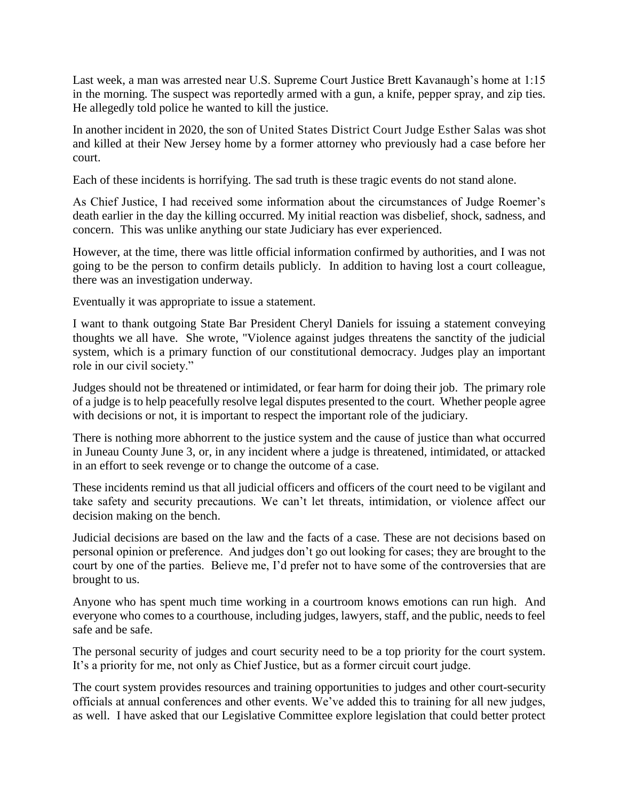Last week, a man was arrested near U.S. Supreme Court Justice Brett Kavanaugh's home at 1:15 in the morning. The suspect was reportedly armed with a gun, a knife, pepper spray, and zip ties. He allegedly told police he wanted to kill the justice.

In another incident in 2020, the son of United States District Court Judge Esther Salas was shot and killed at their New Jersey home by a former attorney who previously had a case before her court.

Each of these incidents is horrifying. The sad truth is these tragic events do not stand alone.

As Chief Justice, I had received some information about the circumstances of Judge Roemer's death earlier in the day the killing occurred. My initial reaction was disbelief, shock, sadness, and concern. This was unlike anything our state Judiciary has ever experienced.

However, at the time, there was little official information confirmed by authorities, and I was not going to be the person to confirm details publicly. In addition to having lost a court colleague, there was an investigation underway.

Eventually it was appropriate to issue a statement.

I want to thank outgoing State Bar President Cheryl Daniels for issuing a statement conveying thoughts we all have. She wrote, "Violence against judges threatens the sanctity of the judicial system, which is a primary function of our constitutional democracy. Judges play an important role in our civil society."

Judges should not be threatened or intimidated, or fear harm for doing their job. The primary role of a judge is to help peacefully resolve legal disputes presented to the court. Whether people agree with decisions or not, it is important to respect the important role of the judiciary.

There is nothing more abhorrent to the justice system and the cause of justice than what occurred in Juneau County June 3, or, in any incident where a judge is threatened, intimidated, or attacked in an effort to seek revenge or to change the outcome of a case.

These incidents remind us that all judicial officers and officers of the court need to be vigilant and take safety and security precautions. We can't let threats, intimidation, or violence affect our decision making on the bench.

Judicial decisions are based on the law and the facts of a case. These are not decisions based on personal opinion or preference. And judges don't go out looking for cases; they are brought to the court by one of the parties. Believe me, I'd prefer not to have some of the controversies that are brought to us.

Anyone who has spent much time working in a courtroom knows emotions can run high. And everyone who comes to a courthouse, including judges, lawyers, staff, and the public, needs to feel safe and be safe.

The personal security of judges and court security need to be a top priority for the court system. It's a priority for me, not only as Chief Justice, but as a former circuit court judge.

The court system provides resources and training opportunities to judges and other court-security officials at annual conferences and other events. We've added this to training for all new judges, as well. I have asked that our Legislative Committee explore legislation that could better protect